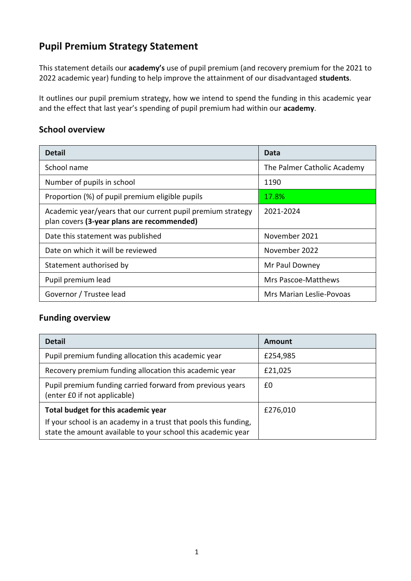## **Pupil Premium Strategy Statement**

This statement details our **academy's** use of pupil premium (and recovery premium for the 2021 to 2022 academic year) funding to help improve the attainment of our disadvantaged **students**.

It outlines our pupil premium strategy, how we intend to spend the funding in this academic year and the effect that last year's spending of pupil premium had within our **academy**.

#### **School overview**

| <b>Detail</b>                                                                                             | Data                        |
|-----------------------------------------------------------------------------------------------------------|-----------------------------|
| School name                                                                                               | The Palmer Catholic Academy |
| Number of pupils in school                                                                                | 1190                        |
| Proportion (%) of pupil premium eligible pupils                                                           | 17.8%                       |
| Academic year/years that our current pupil premium strategy<br>plan covers (3-year plans are recommended) | 2021-2024                   |
| Date this statement was published                                                                         | November 2021               |
| Date on which it will be reviewed                                                                         | November 2022               |
| Statement authorised by                                                                                   | Mr Paul Downey              |
| Pupil premium lead                                                                                        | Mrs Pascoe-Matthews         |
| Governor / Trustee lead                                                                                   | Mrs Marian Leslie-Povoas    |

#### **Funding overview**

| <b>Detail</b>                                                                                                                    | Amount   |
|----------------------------------------------------------------------------------------------------------------------------------|----------|
| Pupil premium funding allocation this academic year                                                                              | £254,985 |
| Recovery premium funding allocation this academic year                                                                           | £21,025  |
| Pupil premium funding carried forward from previous years<br>(enter £0 if not applicable)                                        | £0       |
| Total budget for this academic year                                                                                              | £276,010 |
| If your school is an academy in a trust that pools this funding,<br>state the amount available to your school this academic year |          |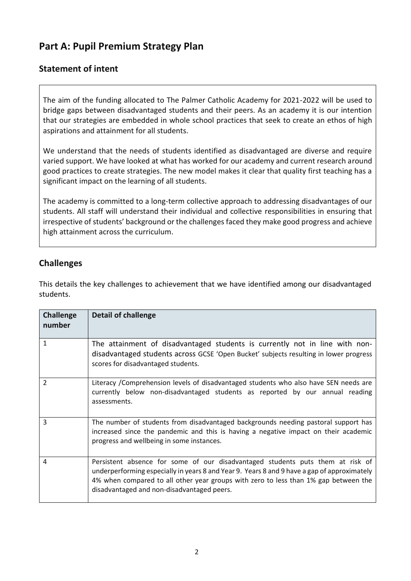## **Part A: Pupil Premium Strategy Plan**

#### **Statement of intent**

The aim of the funding allocated to The Palmer Catholic Academy for 2021-2022 will be used to bridge gaps between disadvantaged students and their peers. As an academy it is our intention that our strategies are embedded in whole school practices that seek to create an ethos of high aspirations and attainment for all students.

We understand that the needs of students identified as disadvantaged are diverse and require varied support. We have looked at what has worked for our academy and current research around good practices to create strategies. The new model makes it clear that quality first teaching has a significant impact on the learning of all students.

The academy is committed to a long-term collective approach to addressing disadvantages of our students. All staff will understand their individual and collective responsibilities in ensuring that irrespective of students' background or the challenges faced they make good progress and achieve high attainment across the curriculum.

#### **Challenges**

This details the key challenges to achievement that we have identified among our disadvantaged students.

| <b>Challenge</b><br>number | <b>Detail of challenge</b>                                                                                                                                                                                                                                                                                         |
|----------------------------|--------------------------------------------------------------------------------------------------------------------------------------------------------------------------------------------------------------------------------------------------------------------------------------------------------------------|
| 1                          | The attainment of disadvantaged students is currently not in line with non-<br>disadvantaged students across GCSE 'Open Bucket' subjects resulting in lower progress<br>scores for disadvantaged students.                                                                                                         |
| $\overline{2}$             | Literacy / Comprehension levels of disadvantaged students who also have SEN needs are<br>currently below non-disadvantaged students as reported by our annual reading<br>assessments.                                                                                                                              |
| 3                          | The number of students from disadvantaged backgrounds needing pastoral support has<br>increased since the pandemic and this is having a negative impact on their academic<br>progress and wellbeing in some instances.                                                                                             |
| 4                          | Persistent absence for some of our disadvantaged students puts them at risk of<br>underperforming especially in years 8 and Year 9. Years 8 and 9 have a gap of approximately<br>4% when compared to all other year groups with zero to less than 1% gap between the<br>disadvantaged and non-disadvantaged peers. |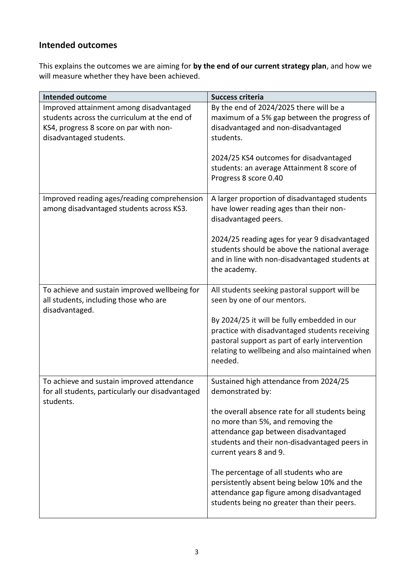## **Intended outcomes**

This explains the outcomes we are aiming for **by the end of our current strategy plan**, and how we will measure whether they have been achieved.

| <b>Intended outcome</b>                                                                                                                                      | Success criteria                                                                                                                                                                                             |
|--------------------------------------------------------------------------------------------------------------------------------------------------------------|--------------------------------------------------------------------------------------------------------------------------------------------------------------------------------------------------------------|
| Improved attainment among disadvantaged<br>students across the curriculum at the end of<br>KS4, progress 8 score on par with non-<br>disadvantaged students. | By the end of 2024/2025 there will be a<br>maximum of a 5% gap between the progress of<br>disadvantaged and non-disadvantaged<br>students.                                                                   |
|                                                                                                                                                              | 2024/25 KS4 outcomes for disadvantaged<br>students: an average Attainment 8 score of<br>Progress 8 score 0.40                                                                                                |
| Improved reading ages/reading comprehension<br>among disadvantaged students across KS3.                                                                      | A larger proportion of disadvantaged students<br>have lower reading ages than their non-<br>disadvantaged peers.                                                                                             |
|                                                                                                                                                              | 2024/25 reading ages for year 9 disadvantaged<br>students should be above the national average<br>and in line with non-disadvantaged students at<br>the academy.                                             |
| To achieve and sustain improved wellbeing for<br>all students, including those who are<br>disadvantaged.                                                     | All students seeking pastoral support will be<br>seen by one of our mentors.                                                                                                                                 |
|                                                                                                                                                              | By 2024/25 it will be fully embedded in our<br>practice with disadvantaged students receiving<br>pastoral support as part of early intervention<br>relating to wellbeing and also maintained when<br>needed. |
| To achieve and sustain improved attendance<br>for all students, particularly our disadvantaged<br>students.                                                  | Sustained high attendance from 2024/25<br>demonstrated by:                                                                                                                                                   |
|                                                                                                                                                              | the overall absence rate for all students being<br>no more than 5%, and removing the<br>attendance gap between disadvantaged<br>students and their non-disadvantaged peers in<br>current years 8 and 9.      |
|                                                                                                                                                              | The percentage of all students who are<br>persistently absent being below 10% and the<br>attendance gap figure among disadvantaged<br>students being no greater than their peers.                            |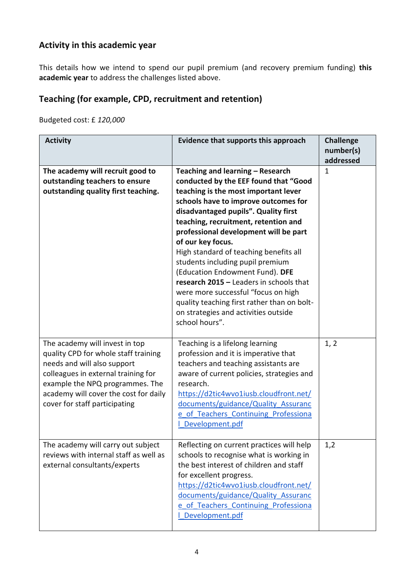## **Activity in this academic year**

This details how we intend to spend our pupil premium (and recovery premium funding) **this academic year** to address the challenges listed above.

## **Teaching (for example, CPD, recruitment and retention)**

Budgeted cost: £ *120,000*

| <b>Activity</b>                                                                                                                                                                                                                                           | Evidence that supports this approach                                                                                                                                                                                                                                                                                                                                                                                                                                                                                                                                                                                | <b>Challenge</b><br>number(s)<br>addressed |
|-----------------------------------------------------------------------------------------------------------------------------------------------------------------------------------------------------------------------------------------------------------|---------------------------------------------------------------------------------------------------------------------------------------------------------------------------------------------------------------------------------------------------------------------------------------------------------------------------------------------------------------------------------------------------------------------------------------------------------------------------------------------------------------------------------------------------------------------------------------------------------------------|--------------------------------------------|
| The academy will recruit good to<br>outstanding teachers to ensure<br>outstanding quality first teaching.                                                                                                                                                 | Teaching and learning - Research<br>conducted by the EEF found that "Good<br>teaching is the most important lever<br>schools have to improve outcomes for<br>disadvantaged pupils". Quality first<br>teaching, recruitment, retention and<br>professional development will be part<br>of our key focus.<br>High standard of teaching benefits all<br>students including pupil premium<br>(Education Endowment Fund). DFE<br>research 2015 - Leaders in schools that<br>were more successful "focus on high<br>quality teaching first rather than on bolt-<br>on strategies and activities outside<br>school hours". | $\mathbf{1}$                               |
| The academy will invest in top<br>quality CPD for whole staff training<br>needs and will also support<br>colleagues in external training for<br>example the NPQ programmes. The<br>academy will cover the cost for daily<br>cover for staff participating | Teaching is a lifelong learning<br>profession and it is imperative that<br>teachers and teaching assistants are<br>aware of current policies, strategies and<br>research.<br>https://d2tic4wvo1iusb.cloudfront.net/<br>documents/guidance/Quality Assuranc<br>e of Teachers Continuing Professiona<br>Development.pdf                                                                                                                                                                                                                                                                                               | 1, 2                                       |
| The academy will carry out subject<br>reviews with internal staff as well as<br>external consultants/experts                                                                                                                                              | Reflecting on current practices will help<br>schools to recognise what is working in<br>the best interest of children and staff<br>for excellent progress.<br>https://d2tic4wvo1iusb.cloudfront.net/<br>documents/guidance/Quality Assuranc<br>e of Teachers Continuing Professiona<br>Development.pdf                                                                                                                                                                                                                                                                                                              | 1,2                                        |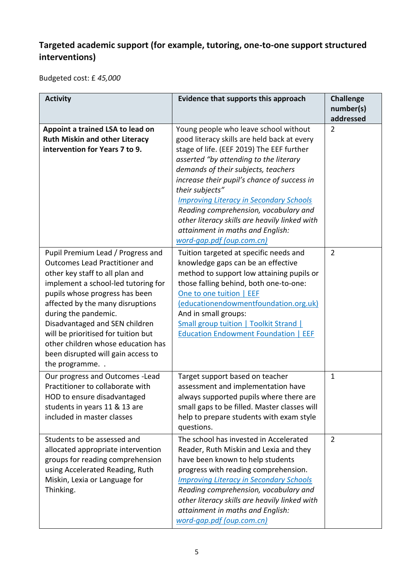## **Targeted academic support (for example, tutoring, one-to-one support structured interventions)**

Budgeted cost: £ *45,000*

| <b>Activity</b>                                                                                                                                                                                                                                                                                                                                                                                                          | Evidence that supports this approach                                                                                                                                                                                                                                                                                                                                                                                                                                                              | <b>Challenge</b><br>number(s)<br>addressed |
|--------------------------------------------------------------------------------------------------------------------------------------------------------------------------------------------------------------------------------------------------------------------------------------------------------------------------------------------------------------------------------------------------------------------------|---------------------------------------------------------------------------------------------------------------------------------------------------------------------------------------------------------------------------------------------------------------------------------------------------------------------------------------------------------------------------------------------------------------------------------------------------------------------------------------------------|--------------------------------------------|
| Appoint a trained LSA to lead on<br><b>Ruth Miskin and other Literacy</b><br>intervention for Years 7 to 9.                                                                                                                                                                                                                                                                                                              | Young people who leave school without<br>good literacy skills are held back at every<br>stage of life. (EEF 2019) The EEF further<br>asserted "by attending to the literary<br>demands of their subjects, teachers<br>increase their pupil's chance of success in<br>their subjects"<br><b>Improving Literacy in Secondary Schools</b><br>Reading comprehension, vocabulary and<br>other literacy skills are heavily linked with<br>attainment in maths and English:<br>word-gap.pdf (oup.com.cn) | $\overline{2}$                             |
| Pupil Premium Lead / Progress and<br><b>Outcomes Lead Practitioner and</b><br>other key staff to all plan and<br>implement a school-led tutoring for<br>pupils whose progress has been<br>affected by the many disruptions<br>during the pandemic.<br>Disadvantaged and SEN children<br>will be prioritised for tuition but<br>other children whose education has<br>been disrupted will gain access to<br>the programme | Tuition targeted at specific needs and<br>knowledge gaps can be an effective<br>method to support low attaining pupils or<br>those falling behind, both one-to-one:<br>One to one tuition   EEF<br>(educationendowmentfoundation.org.uk)<br>And in small groups:<br><b>Small group tuition   Toolkit Strand  </b><br><b>Education Endowment Foundation   EEF</b>                                                                                                                                  | $\overline{2}$                             |
| Our progress and Outcomes - Lead<br>Practitioner to collaborate with<br>HOD to ensure disadvantaged<br>students in years 11 & 13 are<br>included in master classes                                                                                                                                                                                                                                                       | Target support based on teacher<br>assessment and implementation have<br>always supported pupils where there are<br>small gaps to be filled. Master classes will<br>help to prepare students with exam style<br>questions.                                                                                                                                                                                                                                                                        | $\mathbf{1}$                               |
| Students to be assessed and<br>allocated appropriate intervention<br>groups for reading comprehension<br>using Accelerated Reading, Ruth<br>Miskin, Lexia or Language for<br>Thinking.                                                                                                                                                                                                                                   | The school has invested in Accelerated<br>Reader, Ruth Miskin and Lexia and they<br>have been known to help students<br>progress with reading comprehension.<br><b>Improving Literacy in Secondary Schools</b><br>Reading comprehension, vocabulary and<br>other literacy skills are heavily linked with<br>attainment in maths and English:<br>word-gap.pdf (oup.com.cn)                                                                                                                         | $\overline{2}$                             |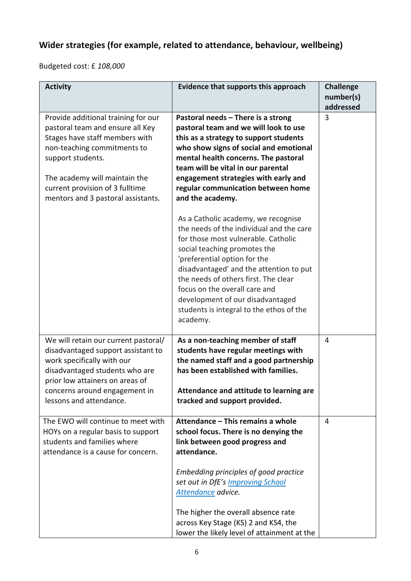## **Wider strategies (for example, related to attendance, behaviour, wellbeing)**

Budgeted cost: £ *108,000*

| <b>Activity</b>                                                                                                                                                                                                                                                         | Evidence that supports this approach                                                                                                                                                                                                                                                                                                                                                                                                                                                                                                                                                                                                                                                                                                                      | <b>Challenge</b><br>number(s)<br>addressed |
|-------------------------------------------------------------------------------------------------------------------------------------------------------------------------------------------------------------------------------------------------------------------------|-----------------------------------------------------------------------------------------------------------------------------------------------------------------------------------------------------------------------------------------------------------------------------------------------------------------------------------------------------------------------------------------------------------------------------------------------------------------------------------------------------------------------------------------------------------------------------------------------------------------------------------------------------------------------------------------------------------------------------------------------------------|--------------------------------------------|
| Provide additional training for our<br>pastoral team and ensure all Key<br>Stages have staff members with<br>non-teaching commitments to<br>support students.<br>The academy will maintain the<br>current provision of 3 fulltime<br>mentors and 3 pastoral assistants. | Pastoral needs - There is a strong<br>pastoral team and we will look to use<br>this as a strategy to support students<br>who show signs of social and emotional<br>mental health concerns. The pastoral<br>team will be vital in our parental<br>engagement strategies with early and<br>regular communication between home<br>and the academy.<br>As a Catholic academy, we recognise<br>the needs of the individual and the care<br>for those most vulnerable. Catholic<br>social teaching promotes the<br>'preferential option for the<br>disadvantaged' and the attention to put<br>the needs of others first. The clear<br>focus on the overall care and<br>development of our disadvantaged<br>students is integral to the ethos of the<br>academy. | 3                                          |
| We will retain our current pastoral/<br>disadvantaged support assistant to<br>work specifically with our<br>disadvantaged students who are<br>prior low attainers on areas of<br>concerns around engagement in<br>lessons and attendance.                               | As a non-teaching member of staff<br>students have regular meetings with<br>the named staff and a good partnership<br>has been established with families.<br>Attendance and attitude to learning are<br>tracked and support provided.                                                                                                                                                                                                                                                                                                                                                                                                                                                                                                                     | 4                                          |
| The EWO will continue to meet with<br>HOYs on a regular basis to support<br>students and families where<br>attendance is a cause for concern.                                                                                                                           | Attendance - This remains a whole<br>school focus. There is no denying the<br>link between good progress and<br>attendance.<br>Embedding principles of good practice<br>set out in DfE's Improving School<br>Attendance advice.<br>The higher the overall absence rate<br>across Key Stage (KS) 2 and KS4, the<br>lower the likely level of attainment at the                                                                                                                                                                                                                                                                                                                                                                                             | 4                                          |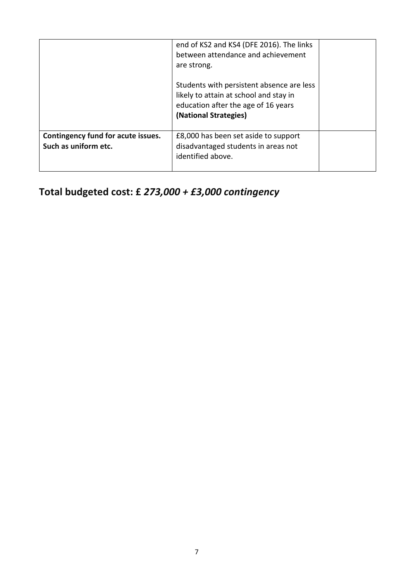|                                                            | end of KS2 and KS4 (DFE 2016). The links<br>between attendance and achievement<br>are strong.                                                       |  |
|------------------------------------------------------------|-----------------------------------------------------------------------------------------------------------------------------------------------------|--|
|                                                            | Students with persistent absence are less<br>likely to attain at school and stay in<br>education after the age of 16 years<br>(National Strategies) |  |
| Contingency fund for acute issues.<br>Such as uniform etc. | £8,000 has been set aside to support<br>disadvantaged students in areas not<br>identified above.                                                    |  |

# **Total budgeted cost: £** *273,000 + £3,000 contingency*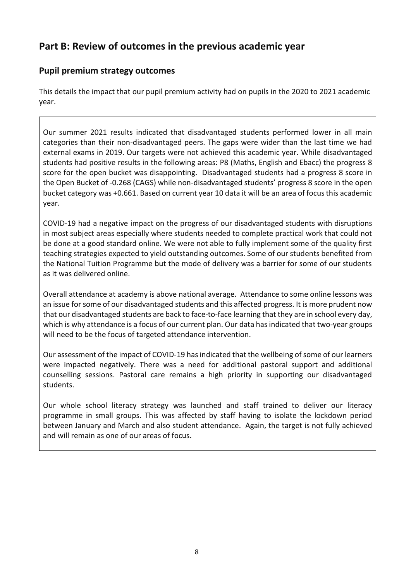## **Part B: Review of outcomes in the previous academic year**

## **Pupil premium strategy outcomes**

This details the impact that our pupil premium activity had on pupils in the 2020 to 2021 academic year.

Our summer 2021 results indicated that disadvantaged students performed lower in all main categories than their non-disadvantaged peers. The gaps were wider than the last time we had external exams in 2019. Our targets were not achieved this academic year. While disadvantaged students had positive results in the following areas: P8 (Maths, English and Ebacc) the progress 8 score for the open bucket was disappointing. Disadvantaged students had a progress 8 score in the Open Bucket of -0.268 (CAGS) while non-disadvantaged students' progress 8 score in the open bucket category was +0.661. Based on current year 10 data it will be an area of focus this academic year.

COVID-19 had a negative impact on the progress of our disadvantaged students with disruptions in most subject areas especially where students needed to complete practical work that could not be done at a good standard online. We were not able to fully implement some of the quality first teaching strategies expected to yield outstanding outcomes. Some of our students benefited from the National Tuition Programme but the mode of delivery was a barrier for some of our students as it was delivered online.

Overall attendance at academy is above national average. Attendance to some online lessons was an issue for some of our disadvantaged students and this affected progress. It is more prudent now that our disadvantaged students are back to face-to-face learning that they are in school every day, which is why attendance is a focus of our current plan. Our data has indicated that two-year groups will need to be the focus of targeted attendance intervention.

Our assessment of the impact of COVID-19 has indicated that the wellbeing of some of our learners were impacted negatively. There was a need for additional pastoral support and additional counselling sessions. Pastoral care remains a high priority in supporting our disadvantaged students.

Our whole school literacy strategy was launched and staff trained to deliver our literacy programme in small groups. This was affected by staff having to isolate the lockdown period between January and March and also student attendance. Again, the target is not fully achieved and will remain as one of our areas of focus.